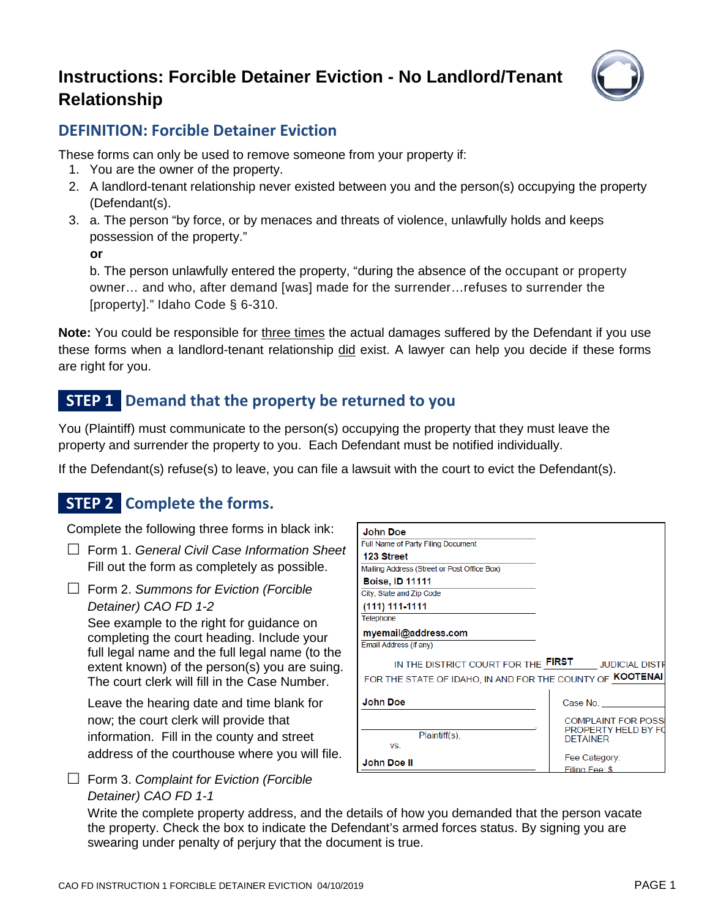# **Instructions: Forcible Detainer Eviction - No Landlord/Tenant Relationship**



#### **DEFINITION: Forcible Detainer Eviction**

These forms can only be used to remove someone from your property if:

- 1. You are the owner of the property.
- 2. A landlord-tenant relationship never existed between you and the person(s) occupying the property (Defendant(s).
- 3. a. The person "by force, or by menaces and threats of violence, unlawfully holds and keeps possession of the property."

**or** 

b. The person unlawfully entered the property, "during the absence of the occupant or property owner… and who, after demand [was] made for the surrender…refuses to surrender the [property]." Idaho Code § 6-310.

**Note:** You could be responsible for three times the actual damages suffered by the Defendant if you use these forms when a landlord-tenant relationship did exist. A lawyer can help you decide if these forms are right for you.

# **STEP 1 Demand that the property be returned to you**

You (Plaintiff) must communicate to the person(s) occupying the property that they must leave the property and surrender the property to you. Each Defendant must be notified individually.

If the Defendant(s) refuse(s) to leave, you can file a lawsuit with the court to evict the Defendant(s).

# **STEP 2 Complete the forms.**

Complete the following three forms in black ink:

- Form 1. *General Civil Case Information Sheet* Fill out the form as completely as possible.
- Form 2. *Summons for Eviction (Forcible Detainer) CAO FD 1-2*

See example to the right for guidance on completing the court heading. Include your full legal name and the full legal name (to the extent known) of the person(s) you are suing. The court clerk will fill in the Case Number.

Leave the hearing date and time blank for now; the court clerk will provide that information. Fill in the county and street address of the courthouse where you will file.

| <b>John Doe</b>                                           |                            |
|-----------------------------------------------------------|----------------------------|
| Full Name of Party Filing Document                        |                            |
| 123 Street                                                |                            |
| Mailing Address (Street or Post Office Box)               |                            |
| <b>Boise, ID 11111</b>                                    |                            |
| City, State and Zip Code                                  |                            |
| (111) 111-1111                                            |                            |
| Telephone                                                 |                            |
| myemail@address.com                                       |                            |
| Email Address (if any)                                    |                            |
| IN THE DISTRICT COURT FOR THE FIRST JUDICIAL DISTR        |                            |
| FOR THE STATE OF IDAHO, IN AND FOR THE COUNTY OF KOOTENAL |                            |
|                                                           |                            |
| <b>John Doe</b>                                           | Case No.                   |
|                                                           | <b>COMPLAINT FOR POSS</b>  |
| Plaintiff(s),                                             | <b>PROPERTY HELD BY FO</b> |
| VS.                                                       | <b>DETAINER</b>            |
|                                                           | Fee Category:              |
| John Doe II                                               | Filing Fee: \$             |

 Form 3. *Complaint for Eviction (Forcible Detainer) CAO FD 1-1*

Write the complete property address, and the details of how you demanded that the person vacate the property. Check the box to indicate the Defendant's armed forces status. By signing you are swearing under penalty of perjury that the document is true.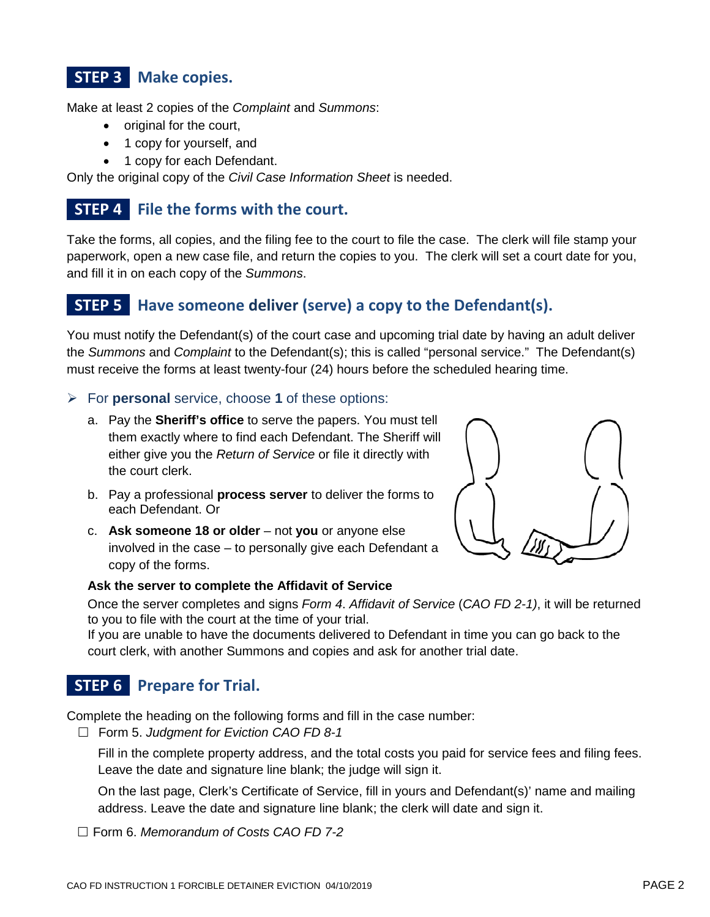# **STEP 3 Make copies.**

Make at least 2 copies of the *Complaint* and *Summons*:

- original for the court,
- 1 copy for yourself, and
- 1 copy for each Defendant.

Only the original copy of the *Civil Case Information Sheet* is needed.

### **STEP 4 File the forms with the court.**

Take the forms, all copies, and the filing fee to the court to file the case. The clerk will file stamp your paperwork, open a new case file, and return the copies to you. The clerk will set a court date for you, and fill it in on each copy of the *Summons*.

### **STEP 5 Have someone deliver (serve) a copy to the Defendant(s).**

You must notify the Defendant(s) of the court case and upcoming trial date by having an adult deliver the *Summons* and *Complaint* to the Defendant(s); this is called "personal service." The Defendant(s) must receive the forms at least twenty-four (24) hours before the scheduled hearing time.

- For **personal** service, choose **1** of these options:
	- a. Pay the **Sheriff's office** to serve the papers. You must tell them exactly where to find each Defendant. The Sheriff will either give you the *Return of Service* or file it directly with the court clerk.
	- b. Pay a professional **process server** to deliver the forms to each Defendant. Or
	- c. **Ask someone 18 or older** not **you** or anyone else involved in the case – to personally give each Defendant a copy of the forms.



#### **Ask the server to complete the Affidavit of Service**

Once the server completes and signs *Form 4*. *Affidavit of Service* (*CAO FD 2-1)*, it will be returned to you to file with the court at the time of your trial.

If you are unable to have the documents delivered to Defendant in time you can go back to the court clerk, with another Summons and copies and ask for another trial date.

# **STEP 6 Prepare for Trial.**

Complete the heading on the following forms and fill in the case number:

Form 5. *Judgment for Eviction CAO FD 8-1*

Fill in the complete property address, and the total costs you paid for service fees and filing fees. Leave the date and signature line blank; the judge will sign it.

On the last page, Clerk's Certificate of Service, fill in yours and Defendant(s)' name and mailing address. Leave the date and signature line blank; the clerk will date and sign it.

Form 6. *Memorandum of Costs CAO FD 7-2*